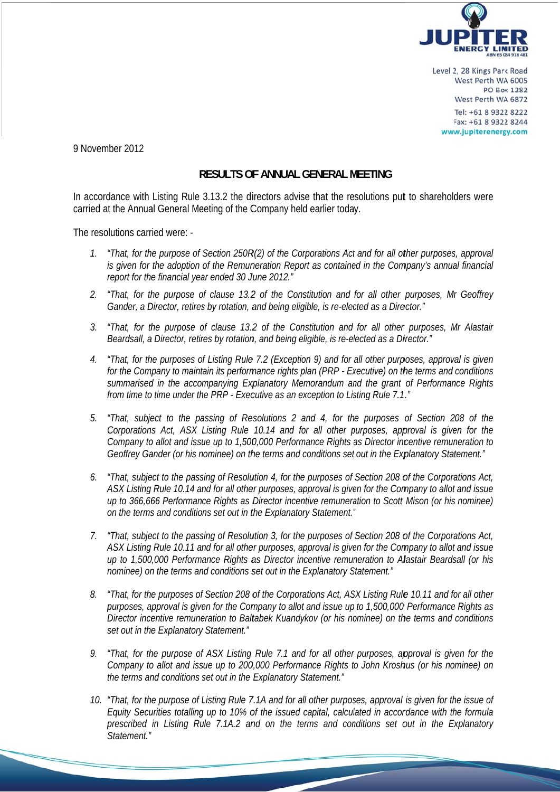

Level 2, 28 Kings Park Road West Perth WA 6005 **PO Box 1282** West Perth WA 6872 Tel: +61 8 9322 8222 Fax: +61 8 9322 8244 www.jupiterenergy.com

9 November 2012

## **RESULTS OF ANNUAL GENERAL MEETING**

In accordance with Listing Rule 3.13.2 the directors advise that the resolutions put to shareholders were carried at the Annual General Meeting of the Company held earlier today.

The resolutions carried were: -

- 1. "That, for the purpose of Section 250R(2) of the Corporations Act and for all other purposes, approval is given for the adoption of the Remuneration Report as contained in the Company's annual financial report for the financial year ended 30 June 2012."
- 2. "That, for the purpose of clause 13.2 of the Constitution and for all other purposes, Mr Geoffrey Gander, a Director, retires by rotation, and being eligible, is re-elected as a Director."
- 3. "That, for the purpose of clause 13.2 of the Constitution and for all other purposes, Mr Alastair Beardsall, a Director, retires by rotation, and being eligible, is re-elected as a Director."
- 4. "That, for the purposes of Listing Rule 7.2 (Exception 9) and for all other purposes, approval is given for the Company to maintain its performance rights plan (PRP - Executive) on the terms and conditions summarised in the accompanying Explanatory Memorandum and the grant of Performance Rights from time to time under the PRP - Executive as an exception to Listing Rule 7.1."
- 5. "That, subject to the passing of Resolutions 2 and 4, for the purposes of Section 208 of the Corporations Act, ASX Listing Rule 10.14 and for all other purposes, approval is given for the Company to allot and issue up to 1,500,000 Performance Rights as Director incentive remuneration to "Geoffrey Gander (or his nominee) on the terms and conditions set out in the Explanatory Statement.
- $6<sup>1</sup>$ "That, subject to the passing of Resolution 4, for the purposes of Section 208 of the Corporations Act, ASX Listing Rule 10.14 and for all other purposes, approval is given for the Company to allot and issue up to 366,666 Performance Rights as Director incentive remuneration to Scott Mison (or his nominee) on the terms and conditions set out in the Explanatory Statement."
- 7. "That, subject to the passing of Resolution 3, for the purposes of Section 208 of the Corporations Act, ASX Listing Rule 10.11 and for all other purposes, approval is given for the Cornpany to allot and issue up to 1,500,000 Performance Rights as Director incentive remuneration to Alastair Beardsall (or his nominee) on the terms and conditions set out in the Explanatory Statement."
- 8. "That, for the purposes of Section 208 of the Corporations Act, ASX Listing Rule 10.11 and for all other purposes, approval is given for the Company to allot and issue up to 1,500,000 Performance Rights as Director incentive remuneration to Baltabek Kuandykov (or his nominee) on the terms and conditions set out in the Explanatory Statement."
- 9. "That, for the purpose of ASX Listing Rule 7.1 and for all other purposes, approval is given for the Company to allot and issue up to 200,000 Performance Rights to John Kroshus (or his nominee) on the terms and conditions set out in the Explanatory Statement."
- 10. "That, for the purpose of Listing Rule 7.1A and for all other purposes, approval is given for the issue of Equity Securities totalling up to 10% of the issued capital, calculated in accordance with the formula prescribed in Listing Rule 7.1A.2 and on the terms and conditions set out in the Explanatory Statement."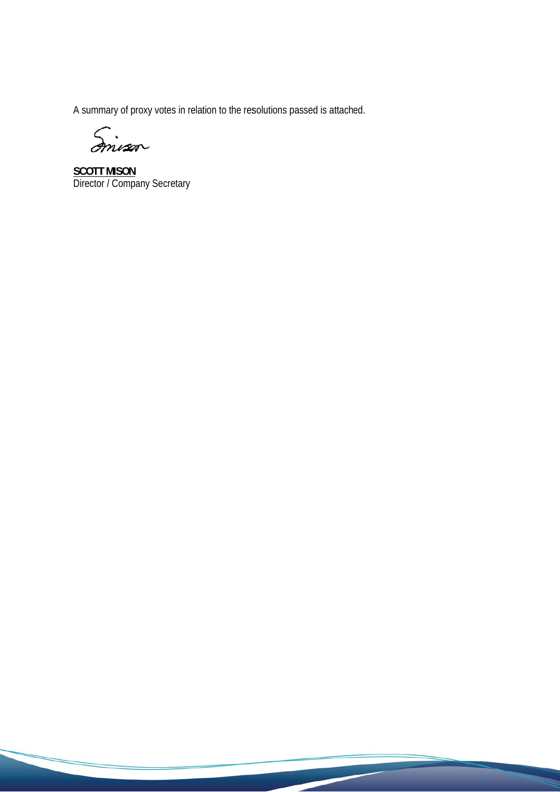A summary of proxy votes in relation to the resolutions passed is attached.

Envan

**SCOTT MISON**<br>Director / Company Secretary